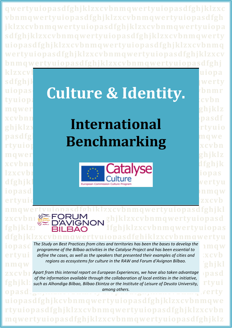**qwertyuiopasdfghjklzxcvbnmqwertyuiopasdfghjklzxc vbnmqwertyuiopasdfghjklzxcvbnmqwertyuiopasdfgh jklzxcvbnmqwertyuiopasdfghjklzxcvbnmqwertyuiopa sdfghjklzxcvbnmqwertyuiopasdfghjklzxcvbnmqwerty uiopasdfghjklzxcvbnmqwertyuiopasdfghjklzxcvbnmq wertyuiopasdfghjklzxcvbnmqwertyuiopasdfghjklzxcv bnmqwertyuiopasdfghjklzxcvbnmqwertyuiopasdfghj**

klzxcvb<mark>urtyuide as a straight window</mark> windows and the straight windows of the straight windows and **mqwer matter of the state of the state of the state of the state of the state of the state of the state of the state of the state of the state of the state of the state of the state of the state of the state of the stat iopasd<sup>f</sup>ahilandisch in die Berghaffen in die Berghaffen in die Berghaffen in die Berghaffen in die Berghaffen in die Berghaffen in die Berghaffen in die Berghaffen in die Berghaffen in die Berghaffen in die Berghaffen in ertyuio**<br>Paster die besteht die besteht die besteht die besteht die besteht die besteht die besteht die besteht die besteht die besteht die besteht die besteht die besteht die besteht die besteht die besteht die besteht d



## **xcvbnmqwertyuiopasdfghjklzxcvbnmqwertyuiopasdf ghjklzx International Passing** pasdfg**herty in the second of the second intervention of the second intervention of the second intervention of the second intervention of the second intervention of the second intervention of the second intervention of the rtyuiop Benchmarking** mqwe





 $\bf{i}$  O **p** a **s**  $\bf{d}$  and  $\bf{d}$  and  $\bf{d}$  and territories has been the bases to develop the **and**  $\bf{d}$   $\bf{W}$ **ertyui** define the cases, as well as the speakers that presented their examples of cities and **REV nmqwertsuions as ecosystems for culture in the RAW and Forum d'Avignon Bilbao.**<br>**Rhj kl** *programme of the Bilbao activities in the Catalyse Project and has been essential to* 

**dfghjklzxcvbnmqwertyuiopasdfghjklzxcvbnmqwertyu**

**zxcvbr** Apart from this internal report on European Experiences, we have also taken advantage **base fghjkl**: such as Alhondiga Bilbao, Bilbao Ekintza or the Institute of Leisure of Deusto University, **Ttyui opasdfghjklzxcvbnmrtyuiopasdfghjklzxcvbnmqwerty** *of the information available through the collaboration of local entities in the initiative, among others.*

**uiopasdfghjkcvbnmqwertyuiopasdfghjklzxcvbnmqwe rtyuiopasdfghjklzxcvbnmqwertyuiopasdfghjklzxcvbn mqwertyuiopasdfghjklzxcvbnmqwertyuiopasdfghjklz x**corbing as a straight straight control of the straight control of the straight control of the straight control of the straight control of the straight control of the straight control of the straight control of the strai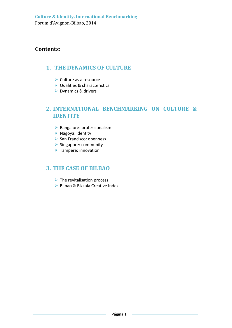### **Contents:**

### **1. THE DYNAMICS OF CULTURE**

- $\triangleright$  Culture as a resource
- ▶ Qualities & characteristics
- ▶ Dynamics & drivers

### **2. INTERNATIONAL BENCHMARKING ON CULTURE & IDENTITY**

- $\triangleright$  Bangalore: professionalism
- $\triangleright$  Nagoya: identity
- $\triangleright$  San Francisco: openness
- $\triangleright$  Singapore: community
- ▶ Tampere: innovation

### **3. THE CASE OF BILBAO**

- $\triangleright$  The revitalisation process
- $\triangleright$  Bilbao & Bizkaia Creative Index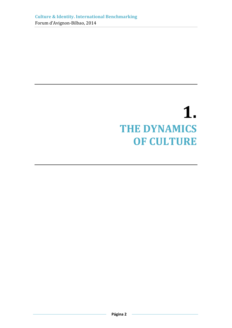# **1. THE DYNAMICS OF CULTURE**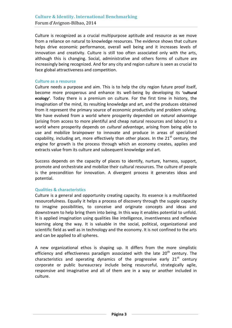Culture is recognized as a crucial multipurpose aptitude and resource as we move from a reliance on natural to knowledge resources. The evidence shows that culture helps drive economic performance, overall well being and it increases levels of innovation and creativity. Culture is still too often associated only with the arts, although this is changing. Social, administrative and others forms of culture are increasingly being recognized. And for any city and region culture is seen as crucial to face global attractiveness and competition.

#### **Culture as a resource**

Culture needs a purpose and aim. This is to help the city region future proof itself, become more prosperous and enhance its well-being by developing its **'cultural ecology'**. Today there is a premium on culture. For the first time in history, the imagination of the mind, its resulting knowledge and art, and the produces obtained from it represent the primary source of economic productivity and problem solving. We have evolved from a world where prosperity depended on *natural advantage* (arising from access to more plentiful and cheap natural resources and labour) to a world where prosperity depends on *cultural advantage*, arising from being able to use and mobilize brainpower to innovate and produce in areas of specialised capability, including art, more effectively than other places. In the  $21<sup>st</sup>$  century, the engine for growth is the process through which an economy creates, applies and extracts value from its culture and subsequent knowledge and art.

Success depends on the capacity of places to identify, nurture, harness, support, promote and orchestrate and mobilize their cultural resources. The culture of people is the precondition for innovation. A divergent process it generates ideas and potential.

#### **Qualities & characteristics**

Culture is a general and opportunity creating capacity. Its essence is a multifaceted resourcefulness. Equally it helps a process of discovery through the supple capacity to imagine possibilities, to conceive and originate concepts and ideas and downstream to help bring them into being. In this way it enables potential to unfold. It is applied imagination using qualities like intelligence, inventiveness and reflexive learning along the way. It is valuable in the social, political, organizational and scientific field as well as in technology and the economy. It is not confined to the arts and can be applied to all spheres.

A new organizational ethos is shaping up. It differs from the more simplistic efficiency and effectiveness paradigm associated with the late  $20<sup>th</sup>$  century. The characteristics and operating dynamics of the progressive early  $21<sup>st</sup>$  century corporate or public bureaucracy include being resourceful, strategically agile, responsive and imaginative and all of them are in a way or another included in culture.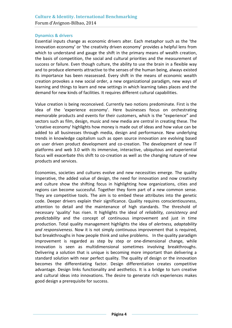#### **Dynamics & drivers**

Essential inputs change as economic drivers alter. Each metaphor such as the 'the innovation economy' or 'the creativity driven economy' provides a helpful lens from which to understand and gauge the shift in the primary means of wealth creation, the basis of competition, the social and cultural priorities and the measurement of success or failure. Even though culture, the ability to use the brain in a flexible way and to produce elements attractive to the senses of the human being, always existed its importance has been reassessed. Every shift in the means of economic wealth creation provokes a new social order, a new organizational paradigm, new ways of learning and things to learn and new settings in which learning takes places and the demand for new kinds of facilities. It requires different cultural capabilities.

Value creation is being reconceived. Currently two notions predominate. First is the idea of the 'experience economy'. Here businesses focus on orchestrating memorable products and events for their customers, which is the "experience" and sectors such as film, design, music and new media are central in creating these. The 'creative economy' highlights how money is made out of ideas and how value can be added to all businesses through media, design and performance. New underlying trends in knowledge capitalism such as open source innovation are evolving based on user driven product development and co-creation. The development of new IT platforms and web 3.0 with its immersive, interactive, ubiquitous and experiential focus will exacerbate this shift to co-creation as well as the changing nature of new products and services.

Economies, societies and cultures evolve and new necessities emerge. The quality imperative, the added value of design, the need for innovation and now creativity and culture show the shifting focus in highlighting how organizations, cities and regions can become successful. Together they form part of a new common sense. They are competitive tools. The aim is to embed these attributes into the genetic code. Deeper drivers explain their significance. Quality requires conscientiousness, attention to detail and the maintenance of high standards. The threshold of necessary 'quality' has risen. It highlights the ideal of *reliability, consistency and predictability* and the concept of continuous improvement and just in time production. Total quality management highlights the idea of *alertness, adaptability and responsiveness*. Now it is not simply continuous improvement that is required, but breakthroughs in how people think and solve problems. In the quality paradigm improvement is regarded as step by step or one-dimensional change, while innovation is seen as multidimensional sometimes involving breakthroughs. Delivering a solution that is unique is becoming more important than delivering a standard solution with near perfect quality. The quality of design or the innovation becomes the differentiating factor. Design differentiation creates competitive advantage. Design links functionality and aesthetics. It is a bridge to turn creative and cultural ideas into innovations. The desire to generate rich experiences makes good design a prerequisite for success.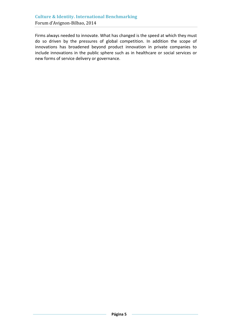Firms always needed to innovate. What has changed is the speed at which they must do so driven by the pressures of global competition. In addition the scope of innovations has broadened beyond product innovation in private companies to include innovations in the public sphere such as in healthcare or social services or new forms of service delivery or governance.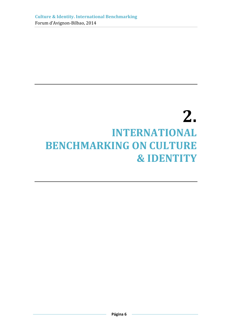# **2. INTERNATIONAL BENCHMARKING ON CULTURE & IDENTITY**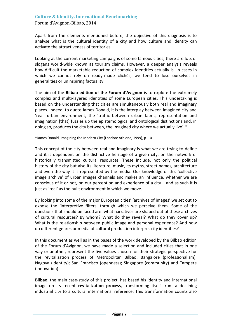Apart from the elements mentioned before, the objective of this diagnosis is to analyse what is the cultural identity of a city and how culture and identity can activate the attractiveness of territories.

Looking at the current marketing campaigns of some famous cities, there are lots of slogans world-wide known as tourism claims. However, a deeper analysis reveals how difficult the marketable reduction of complex identities actually is. In cases in which we cannot rely on ready-made clichés, we tend to lose ourselves in generalities or uninspiring factuality.

The aim of the **Bilbao edition of the Forum d'Avignon** is to explore the extremely complex and multi-layered identities of some European cities. This undertaking is based on the understanding that cities are simultaneously both real and imaginary places. Indeed, to quote James Donald, it is the interplay between imagined city and 'real' urban environment, the 'traffic between urban fabric, representation and imagination [that] fuzzies up the epistemological and ontological distinctions and, in doing so, produces the city between, the imagined city where we actually live'.\*

\*James Donald, Imagining the Modern City (London: Athlone, 1999), p. 10.

This concept of the city between real and imaginary is what we are trying to define and it is dependent on the distinctive heritage of a given city, on the network of historically transmitted cultural resources. These include, not only the political history of the city but also its literature, music, its myths, street names, architecture and even the way it is represented by the media. Our knowledge of this 'collective image archive' of urban images channels and makes an influence, whether we are conscious of it or not, on our perception and experience of a city – and as such it is just as 'real' as the built environment in which we move.

By looking into some of the major European cities' 'archives of images' we set out to expose the 'interpretive filters' through which we perceive them. Some of the questions that should be faced are: what narratives are shaped out of these archives of cultural resources? By whom? What do they reveal? What do they cover up? What is the relationship between public image and personal experience? And how do different genres or media of cultural production interpret city identities?

In this document as well as in the bases of the work developed by the Bilbao edition of the Forum d'Avignon, we have made a selection and included cities that in one way or another, represent the five values chosen for their strategic perspective for the revitalization process of Metropolitan Bilbao: Bangalore (professionalism); Nagoya (identity); San Francisco (openness); Singapore (community) and Tampere (innovation)

**Bilbao**, the main case-study of this project, has based his identity and international image on its recent **revitalization process**, transforming itself from a declining industrial city to a cultural international reference. This transformation counts also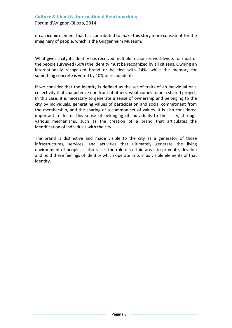on an iconic element that has contributed to make this story more consistent for the imaginary of people, which is the Guggenheim Museum.

What gives a city its identity has received multiple responses worldwide: for most of the people surveyed (60%) the identity must be recognized by all citizens. Owning an internationally recognized brand or be tied with 14%, while the memory for something concrete is voted by 10% of respondents.

If we consider that the identity is defined as the set of traits of an individual or a collectivity that characterize it in front of others, what comes to be a shared project. In this case, it is necessary to generate a sense of ownership and belonging to the city by individuals, generating values of participation and social commitment from the membership, and the sharing of a common set of values. It is also considered important to foster this sense of belonging of individuals to their city, through various mechanisms, such as the creation of a brand that articulates the identification of individuals with the city.

The brand is distinctive and made visible to the city as a generator of those infrastructures, services, and activities that ultimately generate the living environment of people. It also raises the role of certain areas to promote, develop and hold these feelings of identity which operate in turn as visible elements of that identity.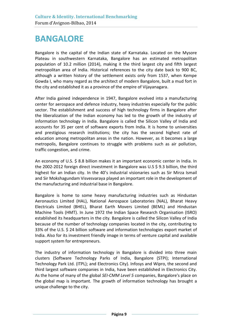## **BANGALORE**

Bangalore is the capital of the Indian state of Karnataka. Located on the Mysore Plateau in southwestern Karnataka, Bangalore has an estimated metropolitan population of 10.2 million (2014), making it the third largest city and fifth largest metropolitan area of India. Historical references to the city date back to 900 BC, although a written history of the settlement exists only from 1537, when Kempe Gowda I, who many regard as the architect of modern Bangalore, built a mud fort in the city and established it as a province of the empire of Vijayanagara.

After India gained independence in 1947, Bangalore evolved into a manufacturing center for aerospace and defence industry, heavy industries especially for the public sector. The establishment and success of high technology firms in Bangalore after the liberalization of the Indian economy has led to the growth of the industry of information technology in India. Bangalore is called the Silicon Valley of India and accounts for 35 per cent of software exports from India. It is home to universities and prestigious research institutions; the city has the second highest rate of education among metropolitan areas in the nation. However, as it becomes a large metropolis, Bangalore continues to struggle with problems such as air pollution, traffic congestion, and crime.

An economy of U.S. \$ 8.8 billion makes it an important economic center in India. In the 2002-2012 foreign direct investment in Bangalore was U.S \$ 9.3 billion, the third highest for an Indian city. In the 40's industrial visionaries such as Sir Mirza Ismail and Sir Mokshagundam Visvesvaraya played an important role in the development of the manufacturing and industrial base in Bangalore.

Bangalore is home to some heavy manufacturing industries such as Hindustan Aeronautics Limited (HAL), National Aerospace Laboratories (NAL), Bharat Heavy Electricals Limited (BHEL), Bharat Earth Movers Limited (BEML) and Hindustan Machine Tools (HMT). In June 1972 the Indian Space Research Organisation (ISRO) established its headquarters in the city. Bangalore is called the Silicon Valley of India because of the number of technology companies located in the city, contributing to 33% of the U.S. \$ 24 billion software and information technologies export market of India. Also for its investment friendly image in terms of venture capital and available support system for entrepreneurs.

The industry of information technology in Bangalore is divided into three main clusters (Software Technology Parks of India, Bangalore (STPI); International Technology Park Ltd. (ITPL); and Electronics City). Infosys and Wipro, the second and third largest software companies in India, have been established in Electronics City. As the home of many of the global *SEI-CMM Level 5* companies, Bangalore's place on the global map is important. The growth of information technology has brought a unique challenge to the city.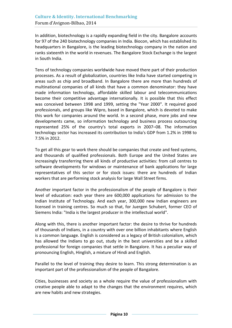In addition, biotechnology is a rapidly expanding field in the city. Bangalore accounts for 97 of the 240 biotechnology companies in India. Biocon, which has established its headquarters in Bangalore, is the leading biotechnology company in the nation and ranks sixteenth in the world in revenues. The Bangalore Stock Exchange is the largest in South India.

Tens of technology companies worldwide have moved there part of their production processes. As a result of globalization, countries like India have started competing in areas such as chip and broadband. In Bangalore there are more than hundreds of multinational companies of all kinds that have a common denominator: they have made information technology, affordable skilled labour and telecommunications become their competitive advantage internationally. It is possible that this effect was conceived between 1998 and 1999, setting the "Year 2000". It required good professionals, and groups like Wipro, based in Bangalore, which is devoted to make this work for companies around the world. In a second phase, more jobs and new developments came, so information technology and business process outsourcing represented 25% of the country's total exports in 2007–08. The information technology sector has increased its contribution to India's GDP from 1.2% in 1998 to 7.5% in 2012.

To get all this gear to work there should be companies that create and feed systems, and thousands of qualified professionals. Both Europe and the United States are increasingly transferring there all kinds of productive activities: from call centres to software developments for windows or maintenance of bank applications for large representatives of this sector or for stock issues: there are hundreds of Indian workers that are performing stock analysis for large Wall Street firms.

Another important factor in the professionalism of the people of Bangalore is their level of education: each year there are 600,000 applications for admission to the Indian Institute of Technology. And each year, 300,000 new Indian engineers are licensed in training centres. So much so that, for Juergen Schubert, former CEO of Siemens India: "India is the largest producer in the intellectual world".

Along with this, there is another important factor: the desire to thrive for hundreds of thousands of Indians, in a country with over one billion inhabitants where English is a common language. English is considered as a legacy of British colonialism, which has allowed the Indians to go out, study in the best universities and be a skilled professional for foreign companies that settle in Bangalore. It has a peculiar way of pronouncing English, Hinglish, a mixture of Hindi and English.

Parallel to the level of training they desire to learn. This strong determination is an important part of the professionalism of the people of Bangalore.

Cities, businesses and society as a whole require the value of professionalism with creative people able to adapt to the changes that the environment requires, which are new habits and new strategies.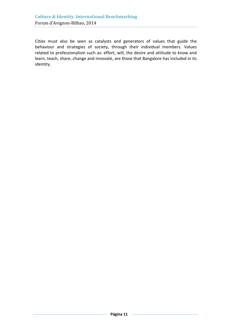Cities must also be seen as catalysts and generators of values that guide the behaviour and strategies of society, through their individual members. Values related to professionalism such as: effort, will, the desire and attitude to know and learn, teach, share, change and innovate, are those that Bangalore has included in its identity.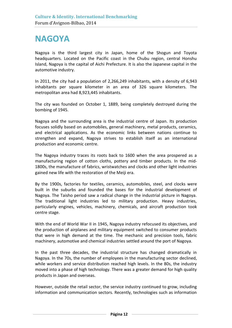# **NAGOYA**

Nagoya is the third largest city in Japan, home of the Shogun and Toyota headquarters. Located on the Pacific coast in the Chubu region, central Honshu Island, Nagoya is the capital of Aichi Prefecture. It is also the Japanese capital in the automotive industry.

In 2011, the city had a population of 2,266,249 inhabitants, with a density of 6,943 inhabitants per square kilometer in an area of 326 square kilometers. The metropolitan area had 8,923,445 inhabitants.

The city was founded on October 1, 1889, being completely destroyed during the bombing of 1945.

Nagoya and the surrounding area is the industrial centre of Japan. Its production focuses solidly based on automobiles, general machinery, metal products, ceramics, and electrical applications. As the economic links between nations continue to strengthen and expand, Nagoya strives to establish itself as an international production and economic centre.

The Nagoya industry traces its roots back to 1600 when the area prospered as a manufacturing region of cotton cloths, pottery and timber products. In the mid-1800s, the manufacture of fabrics, wristwatches and clocks and other light industries gained new life with the restoration of the Meiji era.

By the 1900s, factories for textiles, ceramics, automobiles, steel, and clocks were built in the suburbs and founded the bases for the industrial development of Nagoya. The Taisho period saw a radical change in the industrial picture in Nagoya. The traditional light industries led to military production. Heavy industries, particularly engines, vehicles, machinery, chemicals, and aircraft production took centre stage.

With the end of World War II in 1945, Nagoya industry refocused its objectives, and the production of airplanes and military equipment switched to consumer products that were in high demand at the time. The mechanic and precision tools, fabric machinery, automotive and chemical industries settled around the port of Nagoya.

In the past three decades, the industrial structure has changed dramatically in Nagoya. In the 70s, the number of employees in the manufacturing sector declined, while workers and service distribution reached high levels. In the 80s, the industry moved into a phase of high technology. There was a greater demand for high quality products in Japan and overseas.

However, outside the retail sector, the service industry continued to grow, including information and communication sectors. Recently, technologies such as information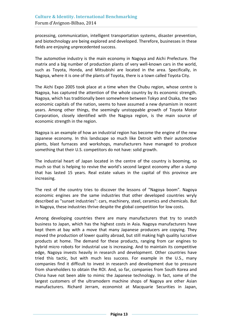processing, communication, intelligent transportation systems, disaster prevention, and biotechnology are being explored and developed. Therefore, businesses in these fields are enjoying unprecedented success.

The automotive industry is the main economy in Nagoya and Aichi Prefecture. The matrix and a big number of production plants of very well-known cars in the world, such as Toyota, Honda, and Mitsubishi are located in the area. Specifically, in Nagoya, where it is one of the plants of Toyota, there is a town called Toyota City.

The Aichi Expo 2005 took place at a time when the Chubu region, whose centre is Nagoya, has captured the attention of the whole country by its economic strength. Nagoya, which has traditionally been somewhere between Tokyo and Osaka, the two economic capitals of the nation, seems to have assumed a new dynamism in recent years. Among other things, the seemingly unstoppable growth of Toyota Motor Corporation, closely identified with the Nagoya region, is the main source of economic strength in the region.

Nagoya is an example of how an industrial region has become the engine of the new Japanese economy. In this landscape so much like Detroit with their automotive plants, blast furnaces and workshops, manufacturers have managed to produce something that their U.S. competitors do not have: solid growth.

The industrial heart of Japan located in the centre of the country is booming, so much so that is helping to revive the world's second largest economy after a slump that has lasted 15 years. Real estate values in the capital of this province are increasing.

The rest of the country tries to discover the lessons of "Nagoya boom". Nagoya economic engines are the same industries that other developed countries wryly described as "sunset industries": cars, machinery, steel, ceramics and chemicals. But in Nagoya, these industries thrive despite the global competition for low costs.

Among developing countries there are many manufacturers that try to snatch business to Japan, which has the highest costs in Asia. Nagoya manufacturers have kept them at bay with a move that many Japanese producers are copying. They moved the production of lower quality abroad, but still making high quality lucrative products at home. The demand for these products, ranging from car engines to hybrid micro robots for industrial use is increasing. And to maintain its competitive edge, Nagoya invests heavily in research and development. Other countries have tried this tactic, but with much less success. For example in the U.S., many companies find it difficult to invest in research and development due to pressure from shareholders to obtain the ROI. And, so far, companies from South Korea and China have not been able to mimic the Japanese technology. In fact, some of the largest customers of the ultramodern machine shops of Nagoya are other Asian manufacturers. Richard Jerram, economist at Macquarie Securities in Japan,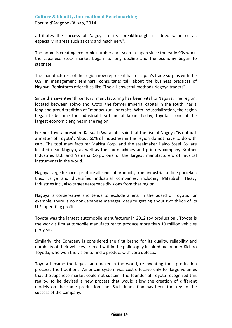attributes the success of Nagoya to its "breakthrough in added value curve, especially in areas such as cars and machinery".

The boom is creating economic numbers not seen in Japan since the early 90s when the Japanese stock market began its long decline and the economy began to stagnate.

The manufacturers of the region now represent half of Japan's trade surplus with the U.S. In management seminars, consultants talk about the business practices of Nagoya. Bookstores offer titles like "The all-powerful methods Nagoya traders".

Since the seventeenth century, manufacturing has been vital to Nagoya. The region, located between Tokyo and Kyoto, the former imperial capital in the south, has a long and proud tradition of "monozukuri" or crafts. With industrialization, the region began to become the industrial heartland of Japan. Today, Toyota is one of the largest economic engines in the region.

Former Toyota president Katsuaki Watanabe said that the rise of Nagoya "is not just a matter of Toyota". About 60% of industries in the region do not have to do with cars. The tool manufacturer Makita Corp. and the steelmaker Daido Steel Co. are located near Nagoya, as well as the fax machines and printers company Brother Industries Ltd. and Yamaha Corp., one of the largest manufacturers of musical instruments in the world.

Nagoya Large furnaces produce all kinds of products, from industrial to fine porcelain tiles. Large and diversified industrial companies, including Mitsubishi Heavy Industries Inc., also target aerospace divisions from that region.

Nagoya is conservative and tends to exclude aliens. In the board of Toyota, for example, there is no non-Japanese manager, despite getting about two thirds of its U.S. operating profit.

Toyota was the largest automobile manufacturer in 2012 (by production). Toyota is the world's first automobile manufacturer to produce more than 10 million vehicles per year.

Similarly, the Company is considered the first brand for its quality, reliability and durability of their vehicles, framed within the philosophy inspired by founder Kichiro Toyoda, who won the vision to find a product with zero defects.

Toyota became the largest automaker in the world, re-inventing their production process. The traditional American system was cost-effective only for large volumes that the Japanese market could not sustain. The founder of Toyota recognized this reality, so he devised a new process that would allow the creation of different models on the same production line. Such innovation has been the key to the success of the company.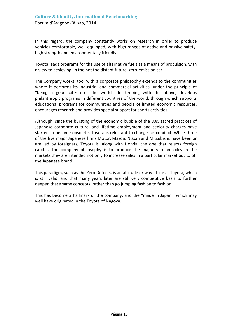In this regard, the company constantly works on research in order to produce vehicles comfortable, well equipped, with high ranges of active and passive safety, high strength and environmentally friendly.

Toyota leads programs for the use of alternative fuels as a means of propulsion, with a view to achieving, in the not too distant future, zero-emission car.

The Company works, too, with a corporate philosophy extends to the communities where it performs its industrial and commercial activities, under the principle of "being a good citizen of the world". In keeping with the above, develops philanthropic programs in different countries of the world, through which supports educational programs for communities and people of limited economic resources, encourages research and provides special support for sports activities.

Although, since the bursting of the economic bubble of the 80s, sacred practices of Japanese corporate culture, and lifetime employment and seniority charges have started to become obsolete, Toyota is reluctant to change his conduct. While three of the five major Japanese firms Motor, Mazda, Nissan and Mitsubishi, have been or are led by foreigners, Toyota is, along with Honda, the one that rejects foreign capital. The company philosophy is to produce the majority of vehicles in the markets they are intended not only to increase sales in a particular market but to off the Japanese brand.

This paradigm, such as the Zero Defects, is an attitude or way of life at Toyota, which is still valid, and that many years later are still very competitive basis to further deepen these same concepts, rather than go jumping fashion to fashion.

This has become a hallmark of the company, and the "made in Japan", which may well have originated in the Toyota of Nagoya.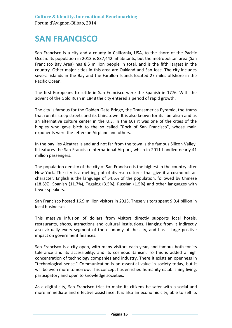# **SAN FRANCISCO**

San Francisco is a city and a county in California, USA, to the shore of the Pacific Ocean. Its population in 2013 is 837,442 inhabitants, but the metropolitan area (San Francisco Bay Area) has 8.5 million people in total, and is the fifth largest in the country. Other major cities in this area are Oakland and San Jose. The city includes several islands in the Bay and the Farallon Islands located 27 miles offshore in the Pacific Ocean.

The first Europeans to settle in San Francisco were the Spanish in 1776. With the advent of the Gold Rush in 1848 the city entered a period of rapid growth.

The city is famous for the Golden Gate Bridge, the Transamerica Pyramid, the trams that run its steep streets and its Chinatown. It is also known for its liberalism and as an alternative culture center in the U.S. In the 60s it was one of the cities of the hippies who gave birth to the so called "Rock of San Francisco", whose main exponents were the Jefferson Airplane and others.

In the bay lies Alcatraz Island and not far from the town is the famous Silicon Valley. It features the San Francisco International Airport, which in 2011 handled nearly 41 million passengers.

The population density of the city of San Francisco is the highest in the country after New York. The city is a melting pot of diverse cultures that give it a cosmopolitan character. English is the language of 54.6% of the population, followed by Chinese (18.6%), Spanish (11.7%), Tagalog (3.5%), Russian (1.5%) and other languages with fewer speakers.

San Francisco hosted 16.9 million visitors in 2013. These visitors spent \$ 9.4 billion in local businesses.

This massive infusion of dollars from visitors directly supports local hotels, restaurants, shops, attractions and cultural institutions. Hanging from it indirectly also virtually every segment of the economy of the city, and has a large positive impact on government finances.

San Francisco is a city open, with many visitors each year, and famous both for its tolerance and its accessibility, and its cosmopolitanism. To this is added a high concentration of technology companies and industry. There it exists an openness in "technological sense." Communication is an essential value in society today, but it will be even more tomorrow. This concept has enriched humanity establishing living, participatory and open to knowledge societies.

As a digital city, San Francisco tries to make its citizens be safer with a social and more immediate and effective assistance. It is also an economic city, able to sell its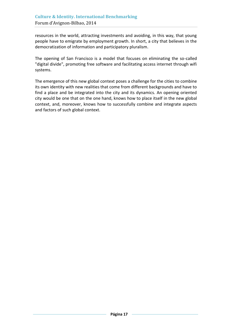resources in the world, attracting investments and avoiding, in this way, that young people have to emigrate by employment growth. In short, a city that believes in the democratization of information and participatory pluralism.

The opening of San Francisco is a model that focuses on eliminating the so-called "digital divide", promoting free software and facilitating access internet through wifi systems.

The emergence of this new global context poses a challenge for the cities to combine its own identity with new realities that come from different backgrounds and have to find a place and be integrated into the city and its dynamics. An opening oriented city would be one that on the one hand, knows how to place itself in the new global context, and, moreover, knows how to successfully combine and integrate aspects and factors of such global context.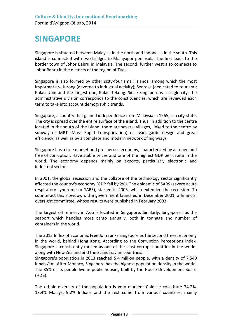# **SINGAPORE**

Singapore is situated between Malaysia in the north and Indonesia in the south. This island is connected with two bridges to Malayapor peninsula. The first leads to the border town of Johor Bahru in Malaysia. The second, further west also connects to Johor Bahru in the districts of the region of Tuas.

Singapore is also formed by other sixty-four small islands, among which the most important are Jurong (devoted to industrial activity); Sentosa (dedicated to tourism); Pulau Ubin and the largest one, Pulau Tekong. Since Singapore is a single city, the administrative division corresponds to the constituencies, which are reviewed each term to take into account demographic trends.

Singapore, a country that gained independence from Malaysia in 1965, is a city-state. The city is spread over the entire surface of the island. Thus, in addition to the centre located in the south of the island, there are several villages, linked to the centre by subway or MRT (Mass Rapid Transportation) of avant-garde design and great efficiency, as well as by a complete and modern network of highways.

Singapore has a free market and prosperous economy, characterized by an open and free of corruption. Have stable prices and one of the highest GDP per capita in the world. The economy depends mainly on exports, particularly electronic and industrial sector.

In 2001, the global recession and the collapse of the technology sector significantly affected the country's economy (GDP fell by 2%). The epidemic of SARS (severe acute respiratory syndrome or SARS), started in 2003, which extended the recession. To counteract this slowdown, the government launched in December 2001, a financial oversight committee, whose results were published in February 2003.

The largest oil refinery in Asia is located in Singapore. Similarly, Singapore has the seaport which handles more cargo annually, both in tonnage and number of containers in the world.

The 2013 Index of Economic Freedom ranks Singapore as the second freest economy in the world, behind Hong Kong. According to the Corruption Perceptions Index, Singapore is consistently ranked as one of the least corrupt countries in the world, along with New Zealand and the Scandinavian countries.

Singapore's population in 2013 reached 5.4 million people, with a density of 7,540 inhab./km. After Monaco, Singapore has the highest population density in the world. The 85% of its people live in public housing built by the House Development Board (HDB).

The ethnic diversity of the population is very marked: Chinese constitute 74.2%, 13.4% Malays, 9.2% Indians and the rest come from various countries, mainly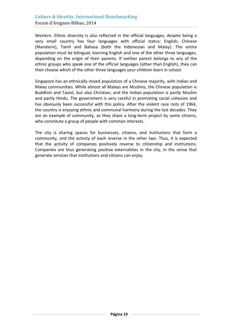Western. Ethnic diversity is also reflected in the official languages, despite being a very small country has four languages with official status: English, Chinese (Mandarin), Tamil and Bahasa (both the Indonesian and Malay). The entire population must be bilingual, learning English and one of the other three languages, depending on the origin of their parents. If neither parent belongs to any of the ethnic groups who speak one of the official languages (other than English), they can then choose which of the other three languages your children learn in school.

Singapore has an ethnically mixed population of a Chinese majority, with Indian and Malay communities. While almost all Malays are Muslims, the Chinese population is Buddhist and Taoist, but also Christian, and the Indian population is partly Muslim and partly Hindu. The government is very careful in promoting social cohesion and has obviously been successful with this policy. After the violent race riots of 1964, the country is enjoying ethnic and communal harmony during the last decades. They are an example of community, as they share a long-term project by some citizens, who constitute a group of people with common interests.

The city is sharing spaces for businesses, citizens, and institutions that form a community, and the activity of each reverse in the other two. Thus, it is expected that the activity of companies positively reverse to citizenship and institutions. Companies are thus generating positive externalities in the city, in the sense that generate services that institutions and citizens can enjoy.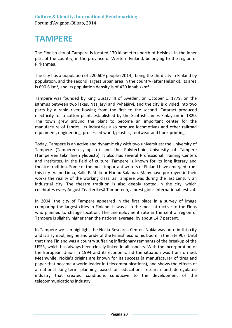# **TAMPERE**

The Finnish city of Tampere is located 170 kilometers north of Helsinki, in the inner part of the country, in the province of Western Finland, belonging to the region of Pirkanmaa.

The city has a population of 220,609 people (2014), being the third city in Finland by population, and the second largest urban area in the country (after Helsinki). Its area is 690.6 km², and its population density is of 420 inhab./km².

Tampere was founded by King Gustav III of Sweden, on October 1, 1779, on the isthmus between two lakes, Näsijärvi and Pyhäjärvi, and the city is divided into two parts by a rapid river flowing from the first to the second. Cataract produced electricity for a cotton plant, established by the Scottish James Finlayson in 1820. The town grew around the plant to become an important center for the manufacture of fabrics. Its industries also produce locomotives and other railroad equipment, engineering, processed wood, plastics, footwear and book printing.

Today, Tampere is an active and dynamic city with two universities: the University of Tampere (Tampereen yliopisto) and the Polytechnic University of Tampere (Tampereen teknillinen yliopisto). It also has several Professional Training Centers and Institutes. In the field of culture, Tampere is known for its long literary and theatre tradition. Some of the most important writers of Finland have emerged from this city (Väinö Linna, Kalle Päätalo or Hannu Salama). Many have portrayed in their works the reality of the working class, as Tampere was during the last century an industrial city. The theatre tradition is also deeply rooted in the city, which celebrates every August Teatterikesä Tampereen, a prestigious international festival.

In 2004, the city of Tampere appeared in the first place in a survey of image comparing the largest cities in Finland. It was also the most attractive to the Finns who planned to change location. The unemployment rate in the central region of Tampere is slightly higher than the national average, by about 14.7 percent.

In Tampere we can highlight the Nokia Research Center. Nokia was born in this city and is a symbol, engine and pride of the Finnish economic boom in the late 90s. Until that time Finland was a country suffering inflationary remnants of the breakup of the USSR, which has always been closely linked in all aspects. With the incorporation of the European Union in 1994 and its economic aid the situation was transformed. Meanwhile, Nokia's origins are known for its success (a manufacturer of tires and paper that became a world leader in telecommunications), and shows the effects of a national long-term planning based on education, research and deregulated industry that created conditions conducive to the development of the telecommunications industry.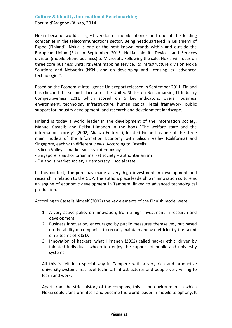Nokia became world's largest vendor of mobile phones and one of the leading companies in the telecommunications sector. Being headquartered in Keilaniemi of Espoo (Finland), Nokia is one of the best known brands within and outside the European Union (EU). In September 2013, Nokia sold its Devices and Services division (mobile phone business) to Microsoft. Following the sale, Nokia will focus on three core business units; its *Here* mapping service, its infrastructure division Nokia Solutions and Networks (NSN), and on developing and licensing its "advanced technologies".

Based on the Economist Intelligence Unit report released in September 2011, Finland has clinched the second place after the United States on Benchmarking IT Industry Competitiveness 2011 which scored on 6 key indicators: overall business environment, technology infrastructure, human capital, legal framework, public support for industry development, and research and development landscape.

Finland is today a world leader in the development of the information society. Manuel Castells and Pekka Himanen in the book "The welfare state and the information society" (2002, Alianza Editorial), located Finland as one of the three main models of the Information Economy with Silicon Valley (California) and Singapore, each with different views. According to Castells:

- Silicon Valley is market society + democracy
- Singapore is authoritarian market society + authoritarianism
- Finland is market society + democracy + social state

In this context, Tampere has made a very high investment in development and research in relation to the GDP. The authors place leadership in innovation culture as an engine of economic development in Tampere, linked to advanced technological production.

According to Castells himself (2002) the key elements of the Finnish model were:

- 1. A very active policy on innovation, from a high investment in research and development.
- 2. Business innovation, encouraged by public measures themselves, but based on the ability of companies to recruit, maintain and use efficiently the talent of its teams of R & D.
- 3. Innovation of hackers, what Himanen (2002) called hacker ethic, driven by talented individuals who often enjoy the support of public and university systems.

All this is felt in a special way in Tampere with a very rich and productive university system, first level technical infrastructures and people very willing to learn and work.

Apart from the strict history of the company, this is the environment in which Nokia could transform itself and become the world leader in mobile telephony. It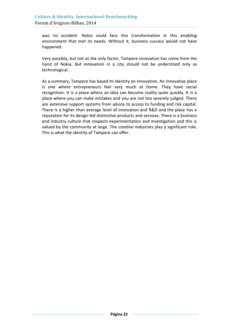was no accident. Nokia could face this transformation in this enabling environment that met its needs. Without it, business success would not have happened.

Very possibly, but not as the only factor, Tampere innovation has come from the hand of Nokia. But innovation in a city should not be understood only as technological.

As a summary, Tampere has based its identity on innovation. An innovative place is one where entrepreneurs feel very much at home. They have social recognition. It is a place where an idea can become reality quite quickly. It is a place where you can make mistakes and you are not too severely judged. There are extensive support systems from advice to access to funding and risk capital. There is a higher than average level of innovation and R&D and the place has a reputation for its design-led distinctive products and services. There is a business and industry culture that respects experimentation and investigation and this is valued by the community at large. The *creative industries* play a significant role. This is what the identity of Tampere can offer.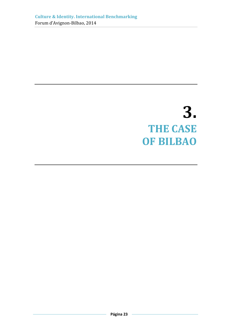# **3. THE CASE OF BILBAO**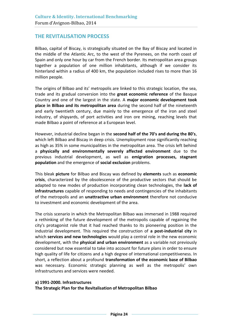### **THE REVITALISATION PROCESS**

Bilbao, capital of Biscay, is strategically situated on the Bay of Biscay and located in the middle of the Atlantic Arc, to the west of the Pyrenees, on the north coast of Spain and only one hour by car from the French border. Its metropolitan area groups together a population of one million inhabitants, although if we consider its hinterland within a radius of 400 km, the population included rises to more than 16 million people.

The origins of Bilbao and its' metropolis are linked to this strategic location, the sea, trade and its gradual conversion into the **great economic reference** of the Basque Country and one of the largest in the state. A **major economic development took place in Bilbao and its metropolitan area** during the second half of the nineteenth and early twentieth century, due mainly to the emergence of the iron and steel industry, of shipyards, of port activities and iron ore mining, reaching levels that made Bilbao a point of reference at a European level.

However, industrial decline began in the **second half of the 70's and during the 80's**, which left Bilbao and Biscay in deep crisis. Unemployment rose significantly reaching as high as 35% in some municipalities in the metropolitan area. The crisis left behind a **physically and environmentally severely affected environment** due to the previous industrial development, as well as **emigration processes, stagnant population** and the emergence of **social exclusion** problems.

This bleak **picture** for Bilbao and Biscay was defined by **elements** such as **economic crisis**, characterized by the obsolescence of the productive sectors that should be adapted to new modes of production incorporating clean technologies, the **lack of infrastructures** capable of responding to needs and contingencies of the inhabitants of the metropolis and an **unattractive urban environment** therefore not conducive to investment and economic development of the area.

The crisis scenario in which the Metropolitan Bilbao was immersed in 1988 required a rethinking of the future development of the metropolis capable of regaining the city's protagonist role that it had reached thanks to its pioneering position in the industrial development. This required the construction of **a post-industrial city** in which **services and new technologies** would play a central role in the new economic development, with the **physical and urban environment** as a variable not previously considered but now essential to take into account for future plans in order to ensure high quality of life for citizens and a high degree of international competitiveness. In short, a reflection about a profound **transformation of the economic base of Bilbao** was necessary. Economic strategic planning as well as the metropolis' own infrastructures and services were needed.

#### **a) 1991-2000. Infrastructures**

**The Strategic Plan for the Revitalisation of Metropolitan Bilbao**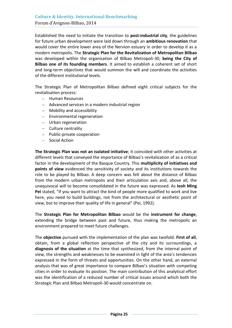Established the need to initiate the transition to **post-industrial city**, the guidelines for future urban development were laid down through an **ambitious renovation** that would cover the entire lower area of the Nervion estuary in order to develop it as a modern metropolis. The **Strategic Plan for the Revitalization of Metropolitan Bilbao** was developed within the organisation of Bilbao Metropoli-30, **being the City of Bilbao one of its founding members**. It aimed to establish a coherent set of short and long-term objectives that would summon the will and coordinate the activities of the different institutional levels.

The Strategic Plan of Metropolitan Bilbao defined eight critical subjects for the revitalisation process:

- Human Resources
- Advanced services in a modern industrial region
- Mobility and accessibility
- $-$  Environmental regeneration
- Urban regeneration
- Culture centrality
- $-$  Public-private cooperation
- Social Action

**The Strategic Plan was not an isolated initiative**; it coincided with other activities at different levels that conveyed the importance of Bilbao's revitalization of as a critical factor in the development of the Basque Country. This **multiplicity of initiatives and points of view** evidenced the sensitivity of society and its institutions towards the role to be played by Bilbao. A deep concern was felt about the distance of Bilbao from the modern urban metropolis and their articulation axis and, above all, the unequivocal will to become consolidated in the future was expressed. As **Ieoh Ming Pei** stated, "If you want to attract the kind of people more qualified to work and live here, you need to build buildings, not from the architectural or aesthetic point of view, but to improve their quality of life in general" (Pei, 1992).

The **Strategic Plan for Metropolitan Bilbao** would be the **instrument for change**, extending the bridge between past and future, thus making the metropolis an environment prepared to meet future challenges.

The **objective** pursued with the implementation of the plan was twofold. **First of all**, obtain, from a global reflection perspective of the city and its surroundings, a **diagnosis of the situation** at the time that synthesized, from the internal point of view, the strengths and weaknesses to be examined in light of the area's tendencies expressed in the form of threats and opportunities. On the other hand, an external analysis that was of great importance to compare Bilbao's situation with competing cities in order to evaluate its position. The main contribution of this analytical effort was the identification of a reduced number of critical issues around which both the Strategic Plan and Bilbao Metropoli-30 would concentrate on.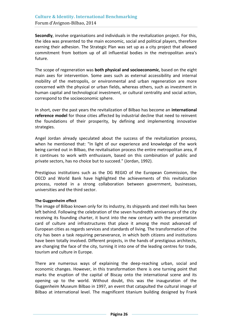**Secondly**, involve organisations and individuals in the revitalization project. For this, the idea was presented to the main economic, social and political players, therefore earning their adhesion. The Strategic Plan was set up as a city project that allowed commitment from bottom up of all influential bodies in the metropolitan area's future.

The scope of regeneration was **both physical and socioeconomic**, based on the eight main axes for intervention. Some axes such as external accessibility and internal mobility of the metropolis, or environmental and urban regeneration are more concerned with the physical or urban fields, whereas others, such as investment in human capital and technological investment, or cultural centrality and social action, correspond to the socioeconomic sphere.

In short, over the past years the revitalization of Bilbao has become an **international reference model** for those cities affected by industrial decline that need to reinvent the foundations of their prosperity, by defining and implementing innovative strategies.

Angel Jordan already speculated about the success of the revitalization process, when he mentioned that: "In light of our experience and knowledge of the work being carried out in Bilbao, the revitalisation process the entire metropolitan area, if it continues to work with enthusiasm, based on this combination of public and private sectors, has no choice but to succeed." (Jordan, 1992).

Prestigious institutions such as the DG REGIO of the European Commission, the OECD and World Bank have highlighted the achievements of this revitalization process, rooted in a strong collaboration between government, businesses, universities and the third sector.

#### **The Guggenheim effect**

The image of Bilbao known only for its industry, its shipyards and steel mills has been left behind. Following the celebration of the seven hundredth anniversary of the city receiving its founding charter, it burst into the new century with the presentation card of culture and infrastructures that place it among the most advanced of European cities as regards services and standards of living. The transformation of the city has been a task requiring perseverance, in which both citizens and institutions have been totally involved. Different projects, in the hands of prestigious architects, are changing the face of the city, turning it into one of the leading centres for trade, tourism and culture in Europe.

There are numerous ways of explaining the deep-reaching urban, social and economic changes. However, in this transformation there is one turning point that marks the eruption of the capital of Biscay onto the international scene and its opening up to the world. Without doubt, this was the inauguration of the Guggenheim Museum Bilbao in 1997, an event that catapulted the cultural image of Bilbao at international level. The magnificent titanium building designed by Frank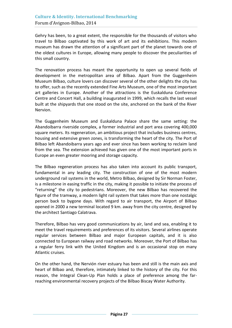Gehry has been, to a great extent, the responsible for the thousands of visitors who travel to Bilbao captivated by this work of art and its exhibitions. This modern museum has drawn the attention of a significant part of the planet towards one of the oldest cultures in Europe, allowing many people to discover the peculiarities of this small country.

The renovation process has meant the opportunity to open up several fields of development in the metropolitan area of Bilbao. Apart from the Guggenheim Museum Bilbao, culture lovers can discover several of the other delights the city has to offer, such as the recently extended Fine Arts Museum, one of the most important art galleries in Europe. Another of the attractions is the Euskalduna Conference Centre and Concert Hall, a building inaugurated in 1999, which recalls the last vessel built at the shipyards that one stood on the site, anchored on the bank of the River Nervion.

The Guggenheim Museum and Euskalduna Palace share the same setting: the Abandoibarra riverside complex, a former industrial and port area covering 400,000 square meters. Its regeneration, an ambitious project that includes business centres, housing and extensive green zones, is transforming the heart of the city. The Port of Bilbao left Abandoibarra years ago and ever since has been working to reclaim land from the sea. The extension achieved has given one of the most important ports in Europe an even greater mooring and storage capacity.

The Bilbao regeneration process has also taken into account its public transport, fundamental in any leading city. The construction of one of the most modern underground rail systems in the world, Metro Bilbao, designed by Sir Norman Foster, is a milestone in easing traffic in the city, making it possible to initiate the process of "returning" the city to pedestrians. Moreover, the new Bilbao has recovered the figure of the tramway, a modern light rail system that takes more than one nostalgic person back to bygone days. With regard to air transport, the Airport of Bilbao opened in 2000 a new terminal located 9 km. away from the city centre, designed by the architect Santiago Calatrava.

Therefore, Bilbao has very good communications by air, land and sea, enabling it to meet the travel requirements and preferences of its visitors. Several airlines operate regular services between Bilbao and major European capitals, and it is also connected to European railway and road networks. Moreover, the Port of Bilbao has a regular ferry link with the United Kingdom and is an occasional stop on many Atlantic cruises.

On the other hand, the Nervión river estuary has been and still is the main axis and heart of Bilbao and, therefore, intimately linked to the history of the city. For this reason, the Integral Clean-Up Plan holds a place of preference among the farreaching environmental recovery projects of the Bilbao Biscay Water Authority.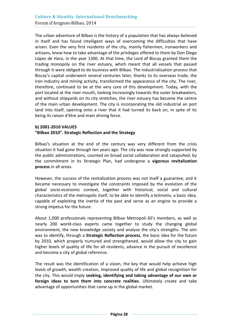The urban adventure of Bilbao is the history of a population that has always believed in itself and has found intelligent ways of overcoming the difficulties that have arisen. Even the very first residents of the city, mainly fishermen, ironworkers and artisans, knew how to take advantage of the privileges offered to them by Don Diego López de Haro, in the year 1300. At that time, the Lord of Biscay granted them the trading monopoly on the river estuary, which meant that all vessels that passed through it were obliged to do business with Bilbao. The industrialisation process that Biscay's capital underwent several centuries later, thanks to its overseas trade, the iron industry and mining activity, transformed the appearance of the city. The river, therefore, continued to be at the very core of this development. Today, with the port located at the river mouth, looking increasingly towards the outer breakwaters, and without shipyards on its city stretches, the river estuary has become the centre of the main urban development. The city is incorporating the old industrial an port land into itself, opening onto a river that it had turned its back on, in spite of its being its raison d'être and main driving force.

#### **b) 2001-2010 VALUES "Bilbao 2010". Strategic Reflection and the Strategy**

Bilbao's situation at the end of the century was very different from the crisis situation it had gone through ten years ago. The city was now strongly supported by the public administrations, counted on broad social collaboration and catapulted, by the commitment in its Strategic Plan, had undergone a **vigorous revitalization process** in all areas.

However, the success of the revitalization process was not itself a guarantee, and it became necessary to investigate the constraints imposed by the evolution of the global socio-economic context, together with historical, social and cultural characteristics of the metropolis itself, to be able to identify a leitmotiv, a basic idea, capable of exploiting the inertia of the past and serve as an engine to provide a strong impetus for the future.

About 1,000 professionals representing Bilbao Metropoli-30's members, as well as nearly 200 world-class experts came together to study the changing global environment, the new knowledge society and analyse the city's strengths. The aim was to identify, through a **Strategic Reflection process**, the basic idea for the future by 2010, which properly nurtured and strengthened, would allow the city to gain higher levels of quality of life for all residents, advance in the pursuit of excellence and become a city of global reference.

The result was the identification of a vision, the key that would help achieve high levels of growth, wealth creation, improved quality of life and global recognition for the city. This would imply **seeking, identifying and taking advantage of our own or foreign ideas to turn them into concrete realities**. Ultimately create and take advantage of opportunities that came up in the global market.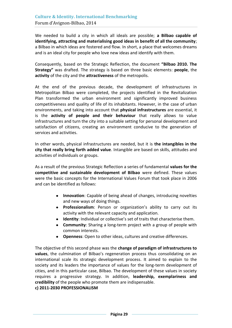We needed to build a city in which all ideals are possible; **a Bilbao capable of identifying, attracting and materialising good ideas in benefit of all the community**; a Bilbao in which ideas are fostered and flow. In short, a place that welcomes dreams and is an ideal city for people who love new ideas and identify with them.

Consequently, based on the Strategic Reflection, the document **"Bilbao 2010. The Strategy"** was drafted. The strategy is based on three basic elements: **people**, the **activity** of the city and the **attractiveness** of the metropolis.

At the end of the previous decade, the development of infrastructures in Metropolitan Bilbao were completed, the projects identified in the Revitalization Plan transformed the urban environment and significantly improved business competitiveness and quality of life of its inhabitants. However, in the case of urban environments, and taking into account that **physical infrastructures** are essential, it is the **activity of people and their behaviour** that really allows to value infrastructures and turn the city into a suitable setting for personal development and satisfaction of citizens, creating an environment conducive to the generation of services and activities.

In other words, physical infrastructures are needed, but it is **the intangibles in the city that really bring forth added value**. Intangible are based on skills, attitudes and activities of individuals or groups.

As a result of the previous Strategic Reflection a series of fundamental **values for the competitive and sustainable development of Bilbao** were defined. These values were the basic concepts for the International Values Forum that took place in 2006 and can be identified as follows:

- **Innovation**: Capable of being ahead of changes, introducing novelties and new ways of doing things.
- **Professionalism**: Person or organization's ability to carry out its activity with the relevant capacity and application.
- **Identity**: Individual or collective's set of traits that characterise them.
- **Community**: Sharing a long-term project with a group of people with common interests.
- **Openness**: Open to other ideas, cultures and creative differences.

The objective of this second phase was the **change of paradigm of infrastructures to values**, the culmination of Bilbao's regeneration process thus consolidating on an international scale its strategic development process. It aimed to explain to the society and its leaders the importance of values for the long-term development of cities, and in this particular case, Bilbao. The development of these values in society requires a progressive strategy. In addition, **leadership, exemplariness and credibility** of the people who promote them are indispensable.

**c) 2011-2030 PROFESSIONALISM**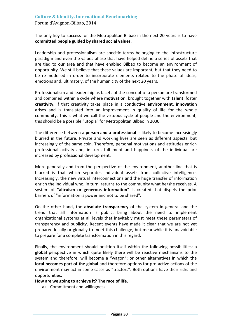The only key to success for the Metropolitan Bilbao in the next 20 years is to have **committed people guided by shared social values**.

Leadership and professionalism are specific terms belonging to the infrastructure paradigm and even the values phase that have helped define a series of assets that are tied to our area and that have enabled Bilbao to become an environment of opportunity. We still believe that these values are important, but that they need to be re-modelled in order to incorporate elements related to the phase of ideas, emotions and, ultimately, of the human city of the next 20 years.

Professionalism and leadership as facets of the concept of a person are transformed and combined within a cycle where **motivation**, brought together with **talent**, foster **creativity**. If that creativity takes place in a conductive **environment**, **innovation** arises and is translated into an improvement in quality of life for the whole community. This is what we call the virtuous cycle of people and the environment; this should be a possible "utopia" for Metropolitan Bilbao in 2030.

The difference between a **person and a professional** is likely to become increasingly blurred in the future. Private and working lives are seen as different aspects, but increasingly of the same coin. Therefore, personal motivations and attitudes enrich professional activity and, in turn, fulfilment and happiness of the individual are increased by professional development.

More generally and from the perspective of the environment, another line that is blurred is that which separates individual assets from collective intelligence. Increasingly, the new virtual interconnections and the huge transfer of information enrich the individual who, in turn, returns to the community what he/she receives. A system of **"altruism or generous information"** is created that dispels the prior barriers of "information is power and not to be shared".

On the other hand, the **absolute transparency** of the system in general and the trend that all information is public, bring about the need to implement organizational systems at all levels that inevitably must meet these parameters of transparency and publicity. Recent events have made it clear that we are not yet prepared locally or globally to meet this challenge, but meanwhile it is unavoidable to prepare for a complete transformation in this regard.

Finally, the environment should position itself within the following possibilities: a **global** perspective in which quite likely there will be reactive mechanisms to the system and therefore, will become a "wagon"; or other alternatives in which the **local becomes part of the global** and therefore options for pro-active actions of the environment may act in some cases as "tractors". Both options have their risks and opportunities.

**How are we going to achieve it? The race of life.** 

a) Commitment and willingness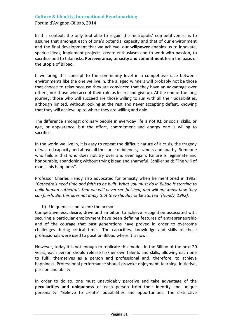In this context, the only tool able to regain the metropolis' competitiveness is to assume that amongst each of one's potential capacity and that of our environment and the final development that we achieve, our **willpower** enables us to innovate, sparkle ideas, implement projects, create enthusiasm and to work with passion, to sacrifice and to take risks. **Perseverance, tenacity and commitment** form the basis of the utopia of Bilbao.

If we bring this concept to the community level in a competitive race between environments like the one we live in, the alleged winners will probably not be those that choose to relax because they are convinced that they have an advantage over others, nor those who accept their role as losers and give up. At the end of the long journey, those who will succeed are those willing to run with all their possibilities, although limited, without looking at the rest and never accepting defeat, knowing that they will achieve up to where they are willing and able.

The difference amongst ordinary people in everyday life is not IQ, or social skills, or age, or appearance, but the effort, commitment and energy one is willing to sacrifice.

In the world we live in, it is easy to repeat the difficult nature of a crisis, the tragedy of wasted capacity and above all the curse of idleness, laziness and apathy. Someone who fails is that who does not try over and over again. Failure is legitimate and honourable, abandoning without trying is sad and shameful. Schiller said: "The will of man is his happiness".

Professor Charles Handy also advocated for tenacity when he mentioned in 1992*: "Cathedrals need time and faith to be built. What you must do in Bilbao is starting to build human cathedrals that we will never see finished, and will not know how they can finish. But this does not imply that they should not be started "(Handy, 1992).*

#### b) Uniqueness and talent: the person

Competitiveness, desire, drive and ambition to achieve recognition associated with securing a particular employment have been defining features of entrepreneurship and of the courage that past generations have proved in order to overcome challenges during critical times. The capacities, knowledge and skills of these professionals were used to position Bilbao where it is now.

However, today it is not enough to replicate this model. In the Bilbao of the next 20 years, each person should release his/her own talents and skills, allowing each one to fulfil themselves as a person and professional and, therefore, to achieve happiness. Professional performance should provoke enjoyment, learning, initiative, passion and ability.

In order to do so, one must unavoidably perceive and take advantage of the **peculiarities and uniqueness** of each person from their identity and unique personality. "Believe to create" possibilities and opportunities. The distinctive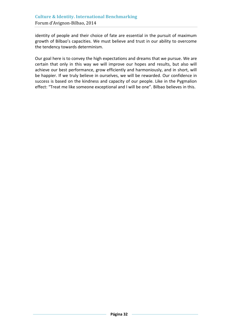identity of people and their choice of fate are essential in the pursuit of maximum growth of Bilbao's capacities. We must believe and trust in our ability to overcome the tendency towards determinism.

Our goal here is to convey the high expectations and dreams that we pursue. We are certain that only in this way we will improve our hopes and results, but also will achieve our best performance, grow efficiently and harmoniously, and in short, will be happier. If we truly believe in ourselves, we will be rewarded. Our confidence in success is based on the kindness and capacity of our people. Like in the Pygmalion effect: "Treat me like someone exceptional and I will be one". Bilbao believes in this.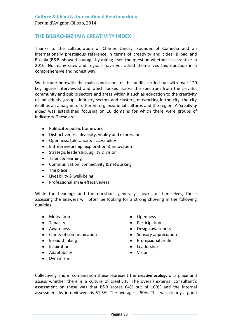### **THE BILBAO-BIZKAIA CREATIVITY INDEX**

Thanks to the collaboration of Charles Landry, Founder of Comedia and an internationally prestigious reference in terms of creativity and cities, Bilbao and Bizkaia (B&B) showed courage by asking itself the question whether it is creative in 2010. No many cites and regions have yet asked themselves this question in a comprehensive and honest way.

We include herewith the main conclusions of this audit, carried out with over 120 key figures interviewed and which looked across the spectrum from the private, community and public sectors and areas within it such as education to the creativity of individuals, groups, industry sectors and clusters, networking in the city, the city itself as an amalgam of different organizational cultures and the region. A **'creativity index'** was established focusing on 10 domains for which there were groups of indicators. These are:

- Political & public framework
- Distinctiveness, diversity, vitality and expression
- Openness, tolerance & accessibility
- Entrepreneurship, exploration & innovation
- Strategic leadership, agility & vision
- Talent & learning
- Communication, connectivity & networking
- The place
- Liveability & well-being
- Professionalism & effectiveness

While the headings and the questions generally speak for themselves, those assessing the answers will often be looking for a strong showing in the following qualities:

- Motivation
- Tenacity
- Awareness
- Clarity of communication
- Broad thinking
- **•** Inspiration
- Adaptability
- Dynamism
- Openness
- Participation
- Design awareness
- Sensory appreciation
- Professional pride
- Leadership
- Vision

Collectively and in combination these represent the **creative ecology** of a place and assess whether there is a culture of creativity. The overall external consultant's assessment on these was that B&B scores 64% out of 100% and the internal assessment by interviewees is 61.5%. The average is 50%. This was clearly a good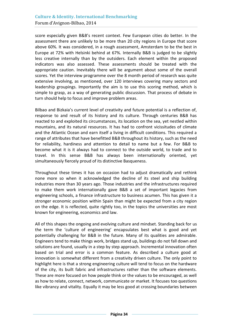score especially given B&B's recent context. Few European cities do better. In the assessment there are unlikely to be more than 20 city regions in Europe that score above 60%. It was considered, in a rough assessment, Amsterdam to be the best in Europe at 72% with Helsinki behind at 67%. Internally B&B is judged to be slightly less creative internally than by the outsiders. Each element within the proposed indicators was also assessed. These assessments should be treated with the appropriate caution. Inevitably there will be argument about some of the overall scores. Yet the interview programme over the 8 month period of research was quite extensive involving, as mentioned, over 120 interviews covering many sectors and leadership groupings. Importantly the aim is to use this scoring method, which is simple to grasp, as a way of generating public discussion. That process of debate in turn should help to focus and improve problem areas.

Bilbao and Bizkaia's current level of creativity and future potential is a reflection of, response to and result of its history and its culture. Through centuries B&B has reacted to and exploited its circumstances, its location on the sea, yet nestled within mountains, and its natural resources. It has had to confront vicissitudes of climate and the Atlantic Ocean and earn itself a living in difficult conditions. This required a range of attributes that have benefitted B&B throughout its history, such as the need for reliability, hardiness and attention to detail to name but a few. For B&B to become what it is it always had to connect to the outside world, to trade and to travel. In this sense B&B has always been internationally oriented, yet simultaneously fiercely proud of its distinctive Basqueness.

Throughout these times it has on occasion had to adjust dramatically and rethink none more so when it acknowledged the decline of its steel and ship building industries more than 30 years ago. Those industries and the infrastructures required to make them work internationally gave B&B a set of important legacies from engineering schools, a finance infrastructure to business acumen. This has given it a stronger economic position within Spain than might be expected from a city region on the edge. It is reflected, quite rightly too, in the topics the universities are most known for engineering, economics and law.

All of this shapes the ongoing and evolving culture and mindset. Standing back for us the term the 'culture of engineering' encapsulates best what is good and yet potentially challenging for B&B in the future. Many of its qualities are admirable. Engineers tend to make things work, bridges stand up, buildings do not fall down and solutions are found, usually in a step by step approach. Incremental innovation often based on trial and error is a common feature. As described a culture good at innovation is somewhat different from a creativity driven culture. The only point to highlight here is that a strong engineering culture will tend to focus on the hardware of the city, its built fabric and infrastructures rather than the software elements. These are more focused on how people think or the values to be encouraged, as well as how to relate, connect, network, communicate or market. It focuses too questions like vibrancy and vitality. Equally it may be less good at crossing boundaries between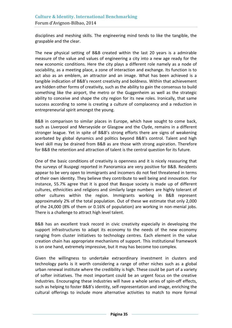disciplines and meshing skills. The engineering mind tends to like the tangible, the graspable and the clear.

The new physical setting of B&B created within the last 20 years is a admirable measure of the value and values of engineering a city into a new age ready for the new economic conditions. Here the city plays a different role namely as a node of sociability, as a meeting place, a zone of interaction and exchange. Its function is to act also as an emblem, an attractor and an image. What has been achieved is a tangible indication of B&B's recent creativity and boldness. Within that achievement are hidden other forms of creativity, such as the ability to gain the consensus to build something like the airport, the metro or the Guggenheim as well as the strategic ability to conceive and shape the city region for its new roles. Ironically, that same success according to some is creating a culture of complacency and a reduction in entrepreneurial spirit amongst the young.

B&B in comparison to similar places in Europe, which have sought to come back, such as Liverpool and Merseyside or Glasgow and the Clyde, remains in a different stronger league. Yet in spite of B&B's strong efforts there are signs of weakening acerbated by global dynamics and politics beyond B&B's control. Talent and high level skill may be drained from B&B as are those with strong aspiration. Therefore for B&B the retention and attraction of talent is the central question for its future.

One of the basic conditions of creativity is openness and it is nicely reassuring that the surveys of Ikuspegi reported in Panoramica are very positive for B&B. Residents appear to be very open to immigrants and incomers do not feel threatened in terms of their own identity. They believe they contribute to well being and innovation. For instance, 55.7% agree that it is good that Basque society is made up of different cultures, ethnicities and religions and similarly large numbers are highly tolerant of other cultures within the region. Immigrants working in B&B represent approximately 2% of the total population. Out of these we estimate that only 2,000 of the 24,000 (8% of them or 0.16% of population) are working in non-menial jobs. There is a challenge to attract high level talent.

B&B has an excellent track record in civic creativity especially in developing the support infrastructures to adapt its economy to the needs of the new economy ranging from cluster initiatives to technology centres. Each element in the value creation chain has appropriate mechanisms of support. This institutional framework is on one hand, extremely impressive, but it may has become too complex.

Given the willingness to undertake extraordinary investment in clusters and technology parks is it worth considering a range of other niches such as a global urban renewal institute where the credibility is high. These could be part of a variety of softer initiatives. The most important could be an urgent focus on the creative industries. Encouraging these industries will have a whole series of spin-off effects, such as helping to foster B&B's identity, self-representation and image, enriching the cultural offerings to include more alternative activities to match to more formal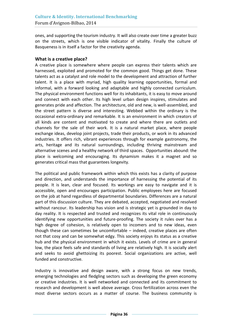ones, and supporting the tourism industry. It will also create over time a greater buzz on the streets, which is one visible indicator of vitality. Finally the culture of Basqueness is in itself a factor for the creativity agenda.

#### **What is a creative place?**

A creative place is somewhere where people can express their talents which are harnessed, exploited and promoted for the common good. Things get done. These talents act as a catalyst and role model to the development and attraction of further talent. It is a place with myriad, high quality learning opportunities, formal and informal, with a forward looking and adaptable and highly connected curriculum. The physical environment functions well for its inhabitants, it is easy to move around and connect with each other. Its high level urban design inspires, stimulates and generates pride and affection. The architecture, old and new, is well-assembled, and the street pattern is diverse and interesting. Webbed within the ordinary is the occasional extra-ordinary and remarkable. It is an environment in which creators of all kinds are content and motivated to create and where there are outlets and channels for the sale of their work. It is a natural market place, where people exchange ideas, develop joint projects, trade their products, or work in its advanced industries. It offers rich, vibrant experiences through for example gastronomy, the arts, heritage and its natural surroundings, including thriving mainstream and alternative scenes and a healthy network of third spaces. Opportunities abound: the place is welcoming and encouraging. Its dynamism makes it a magnet and so generates critical mass that guarantees longevity.

The political and public framework within which this exists has a clarity of purpose and direction, and understands the importance of harnessing the potential of its people. It is lean, clear and focused. Its workings are easy to navigate and it is accessible, open and encourages participation. Public employees here are focused on the job at hand regardless of departmental boundaries. Differences are a natural part of this discussion culture. They are debated, accepted, negotiated and resolved without rancour. Its leadership has vision and is strategic yet is grounded in day to day reality. It is respected and trusted and recognizes its vital role in continuously identifying new opportunities and future-proofing. The society it rules over has a high degree of cohesion, is relatively open to incomers and to new ideas, even though these can sometimes be uncomfortable – indeed, creative places are often not that cosy and can be somewhat edgy. This society enjoys its status as a creative hub and the physical environment in which it exists. Levels of crime are in general low, the place feels safe and standards of living are relatively high. It is socially alert and seeks to avoid ghettoizing its poorest. Social organizations are active, well funded and constructive.

Industry is innovative and design aware, with a strong focus on new trends, emerging technologies and fledgling sectors such as developing the green economy or creative industries. It is well networked and connected and its commitment to research and development is well above average. Cross fertilization across even the most diverse sectors occurs as a matter of course. The business community is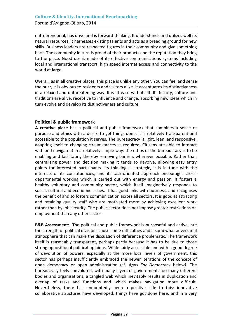entrepreneurial, has drive and is forward thinking. It understands and utilizes well its natural resources, it harnesses existing talents and acts as a breeding ground for new skills. Business leaders are respected figures in their community and give something back. The community in turn is proud of their products and the reputation they bring to the place. Good use is made of its effective communications systems including local and international transport, high speed internet access and connectivity to the world at large.

Overall, as in all creative places, this place is unlike any other. You can feel and sense the buzz, it is obvious to residents and visitors alike. It accentuates its distinctiveness in a relaxed and unthreatening way. It is at ease with itself. Its history, culture and traditions are alive, receptive to influence and change, absorbing new ideas which in turn evolve and develop its distinctiveness and culture.

#### **Political & public framework**

**A creative place** has a political and public framework that combines a sense of purpose and ethics with a desire to get things done. It is relatively transparent and accessible to the population it serves. The bureaucracy is light, lean, and responsive, adapting itself to changing circumstances as required. Citizens are able to interact with and navigate it in a relatively simple way: the ethos of the bureaucracy is to be enabling and facilitating thereby removing barriers wherever possible. Rather than centralising power and decision making it tends to devolve, allowing easy entry points for interested participants. Its thinking is strategic, it is in tune with the interests of its constituencies, and its task-oriented approach encourages crossdepartmental working which is carried out with energy and passion. It fosters a healthy voluntary and community sector, which itself imaginatively responds to social, cultural and economic issues. It has good links with business, and recognises the benefit of and so fosters communication across all sectors. It is good at attracting and retaining quality staff who are motivated more by achieving excellent work rather than by job security. The public sector does not impose greater restrictions on employment than any other sector.

**B&B Assessment:** The political and public framework is purposeful and active, but the strength of political divisions cause some difficulties and a somewhat adversarial atmosphere that can make the discussion of difference problematic. The framework itself is reasonably transparent, perhaps partly because it has to be due to those strong oppositional political opinions. While fairly accessible and with a good degree of devolution of powers, especially at the more local levels of government, this sector has perhaps insufficiently embraced the newer iterations of the concept of open democracy or open administration (cf. *Apps For Democracy* below*)*. The bureaucracy feels convoluted, with many layers of government, too many different bodies and organisations, a tangled web which inevitably results in duplication and overlap of tasks and functions and which makes navigation more difficult. Nevertheless, there has undoubtedly been a positive side to this: innovative collaborative structures have developed, things have got done here, and in a very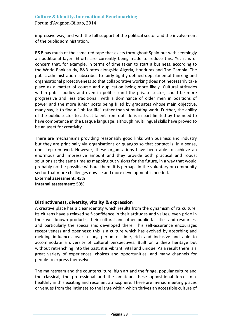impressive way, and with the full support of the political sector and the involvement of the public administration.

B&B has much of the same red tape that exists throughout Spain but with seemingly an additional layer. Efforts are currently being made to reduce this. Yet it is of concern that, for example, in terms of time taken to start a business, according to the World Bank study, B&B rates alongside Algeria, Honduras and The Gambia. The public administration subscribes to fairly tightly defined departmental thinking and organisational protectiveness so that collaborative working does not necessarily take place as a matter of course and duplication being more likely. Cultural attitudes within public bodies and even in politics (and the private sector) could be more progressive and less traditional, with a dominance of older men in positions of power and the more junior posts being filled by graduates whose main objective, many say, is to find a "job for life" rather than stimulating work. Further, the ability of the public sector to attract talent from outside is in part limited by the need to have competence in the Basque language, although multilingual skills have proved to be an asset for creativity.

There are mechanisms providing reasonably good links with business and industry but they are principally via organisations or quangos so that contact is, in a sense, one step removed. However, these organisations have been able to achieve an enormous and impressive amount and they provide both practical and robust solutions at the same time as mapping out visions for the future, in a way that would probably not be possible without them. It is perhaps in the voluntary or community sector that more challenges now lie and more development is needed.

**External assessment: 45% Internal assessment: 50%**

#### **Distinctiveness, diversity, vitality & expression**

A creative place has a clear identity which results from the dynamism of its culture. Its citizens have a relaxed self-confidence in their attitudes and values, even pride in their well-known products, their cultural and other public facilities and resources, and particularly the specialisms developed there. This self-assurance encourages receptiveness and openness: this is a culture which has evolved by absorbing and melding influences over a long period of time, rich and inclusive and able to accommodate a diversity of cultural perspectives. Built on a deep heritage but without retrenching into the past, it is vibrant, vital and unique. As a result there is a great variety of experiences, choices and opportunities, and many channels for people to express themselves.

The mainstream and the counterculture, high art and the fringe, popular culture and the classical, the professional and the amateur, these oppositional forces mix healthily in this exciting and resonant atmosphere. There are myriad meeting places or venues from the intimate to the large within which thrives an accessible culture of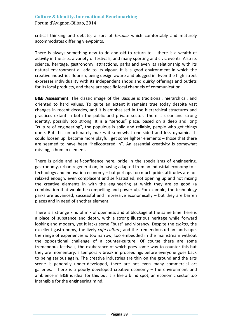critical thinking and debate, a sort of *tertulia* which comfortably and maturely accommodates differing viewpoints.

There is always something new to do and old to return to  $-$  there is a wealth of activity in the arts, a variety of festivals, and many sporting and civic events. Also its science, heritage, gastronomy, attractions, parks and even its relationship with its natural environment all add to its vigour. It is a good environment in which the creative industries flourish, being design-aware and plugged in. Even the high street expresses individuality with its independent shops and quirky offerings and outlets for its local products, and there are specific local channels of communication.

**B&B Assessment:** The classic image of the Basque is traditional, hierarchical, and oriented to hard values. To quite an extent it remains true today despite vast changes in recent decades, and it is emphasised in the hierarchical structures and practices extant in both the public and private sector. There is clear and strong identity, possibly too strong. It is a "serious" place, based on a deep and long "culture of engineering", the populous is solid and reliable, people who get things done. But this unfortunately makes it somewhat one-sided and less dynamic. It could loosen up, become more playful, get some lighter elements – those that there are seemed to have been "helicoptered in". An essential creativity is somewhat missing, a human element.

There is pride and self-confidence here, pride in the specialisms of engineering, gastronomy, urban regeneration, in having adapted from an industrial economy to a technology and innovation economy – but perhaps too much pride, attitudes are not relaxed enough, even complacent and self-satisfied, not opening up and not mixing the creative elements in with the engineering at which they are so good (a combination that would be compelling and powerful). For example, the technology parks are advanced, successful and impressive economically – but they are barren places and in need of another element.

There is a strange kind of mix of openness and of blockage at the same time: here is a place of substance and depth, with a strong illustrious heritage while forward looking and modern, yet it lacks some "buzz" and vibrancy. Despite the *txokos*, the excellent gastronomy, the lively *café culture,* and the tremendous urban landscape, the range of experiences is too narrow, too embedded in the mainstream without the oppositional challenge of a counter-culture. Of course there are some tremendous festivals, the exuberance of which goes some way to counter this but they are momentary, a temporary break in proceedings before everyone goes back to being serious again. The creative industries are thin on the ground and the arts scene is generally under-developed, there are not even many commercial art galleries. There is a poorly developed creative economy – the environment and ambience in B&B is ideal for this but it is like a blind spot, an economic sector too intangible for the engineering mind.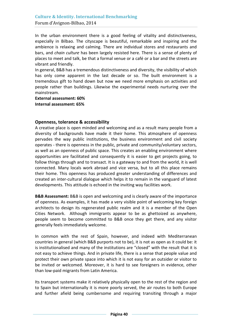#### **Culture & Identity. International Benchmarking** Forum d'Avignon-Bilbao, 2014

In the urban environment there is a good feeling of vitality and distinctiveness, especially in Bilbao. The cityscape is beautiful, remarkable and inspiring and the ambience is relaxing and calming. There are individual stores and restaurants and bars, and *chain culture* has been largely resisted here. There is a sense of plenty of places to meet and talk, be that a formal venue or a café or a bar and the streets are vibrant and friendly.

In general, B&B has a tremendous distinctiveness and diversity, the visibility of which has only come apparent in the last decade or so. The built environment is a tremendous gift to hand down but now we need more emphasis on activities and people rather than buildings. Likewise the experimental needs nurturing over the mainstream.

**External assessment: 60% Internal assessment: 65%**

#### **Openness, tolerance & accessibility**

A creative place is open minded and welcoming and as a result many people from a diversity of backgrounds have made it their home. This atmosphere of openness pervades the way public institutions, the business environment and civil society operates - there is openness in the public, private and community/voluntary sectors, as well as an openness of public space. This creates an enabling environment where opportunities are facilitated and consequently it is easier to get projects going, to follow things through and to transact. It is a gateway to and from the world, it is well connected. Many locals work abroad and vice versa, but to all this place remains their home. This openness has produced greater understanding of differences and created an inter-cultural dialogue which helps it to remain in the vanguard of latest developments. This attitude is echoed in the inviting way facilities work.

**B&B Assessment:** B&B is open and welcoming and is clearly aware of the importance of openness. As examples, it has made a very visible point of welcoming key foreign architects to design its regenerated public realm and it is a member of the Open Cities Network. Although immigrants appear to be as ghettoized as anywhere, people seem to become committed to B&B once they get there, and any visitor generally feels immediately welcome.

In common with the rest of Spain, however, and indeed with Mediterranean countries in general (which B&B purports not to be), it is not as open as it could be: it is institutionalised and many of the institutions are "closed" with the result that it is not easy to achieve things. And in private life, there is a sense that people value and protect their own private space into which it is not easy for an outsider or visitor to be invited or welcomed. Moreover, it is hard to see foreigners in evidence, other than low-paid migrants from Latin America.

Its transport systems make it relatively physically open to the rest of the region and to Spain but internationally it is more poorly served, the air routes to both Europe and further afield being cumbersome and requiring transiting through a major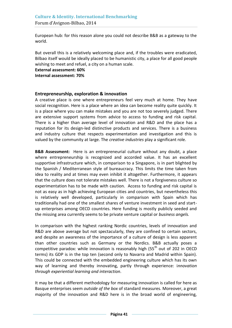European hub: for this reason alone you could not describe B&B as a gateway to the world.

But overall this is a relatively welcoming place and, if the troubles were eradicated, Bilbao itself would be ideally placed to be humanistic city, a place for all good people wishing to meet and refuel, a city on a human scale.

**External assessment: 60% Internal assessment: 70%**

#### **Entrepreneurship, exploration & innovation**

A creative place is one where entrepreneurs feel very much at home. They have social recognition. Here is a place where an idea can become reality quite quickly. It is a place where you can make mistakes and you are not too severely judged. There are extensive support systems from advice to access to funding and risk capital. There is a higher than average level of innovation and R&D and the place has a reputation for its design-led distinctive products and services. There is a business and industry culture that respects experimentation and investigation and this is valued by the community at large. The *creative industries* play a significant role.

**B&B Assessment:** Here is an entrepreneurial culture without any doubt, a place where entrepreneurship is recognized and accorded value. It has an excellent supportive infrastructure which, in comparison to a Singapore, is in part blighted by the Spanish / Mediterranean style of bureaucracy. This limits the time taken from idea to reality and at times may even inhibit it altogether. Furthermore, it appears that the culture does not tolerate mistakes well. There is not a forgiveness culture so experimentation has to be made with caution. Access to funding and risk capital is not as easy as in high achieving European cities and countries, but nevertheless this is relatively well developed, particularly in comparison with Spain which has traditionally had one of the smallest shares of venture investment in seed and startup enterprises among OECD countries. Here funding is mostly publicly seeded and the missing area currently seems to be private venture capital or *business angels.* 

In comparison with the highest ranking Nordic countries, levels of innovation and R&D are above average but not spectacularly, they are confined to certain sectors, and despite an awareness of the importance of a culture of design is less apparent than other countries such as Germany or the Nordics. B&B actually poses a competitive paradox: while innovation is reasonably high (55<sup>th</sup> out of 202 in OECD terms) its GDP is in the top ten (second only to Navarra and Madrid within Spain). This could be connected with the embedded engineering culture which has its own way of learning and thereby innovating, partly through experience: i*nnovation through experiential learning and interaction*.

It may be that a different methodology for measuring innovation is called for here as Basque enterprises seem *outside of the box* of standard measures. Moreover, a great majority of the innovation and R&D here is in the broad world of engineering,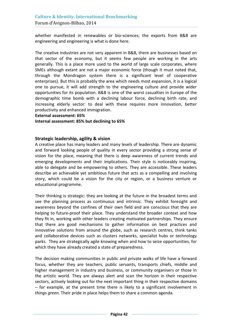whether manifested in renewables or bio-sciences; the exports from B&B are engineering and engineering is what is done here.

The creative industries are not very apparent in B&B, there are businesses based on that sector of the economy, but it seems few people are working in the arts generally. This is a place more used to the world of large scale corporates, where SMEs although extant are not a major economic force (though it must noted that, through the Mondragon system there is a significant level of cooperative enterprises). But this is probably the area which needs most expansion, it is a logical one to pursue, it will add strength to the engineering culture and provide wider opportunities for its population. B&B is one of the worst casualties in Europe of the demographic time bomb with a declining labour force, declining birth rate, and increasing elderly sector: to deal with these requires more innovation, better productivity and enhanced immigration.

**External assessment: 65%**

**Internal assessment: 85% but declining to 65%**

#### **Strategic leadership, agility & vision**

A creative place has many leaders and many levels of leadership. There are dynamic and forward looking people of quality in every sector providing a strong sense of vision for the place, meaning that there is deep awareness of current trends and emerging developments and their implications. Their style is noticeably inspiring, able to delegate and be empowering to others. They are accessible. These leaders describe an achievable yet ambitious future that acts as a compelling and involving story, which could be a vision for the city or region, or a business venture or educational programme.

Their thinking is strategic: they are looking at the future in the broadest terms and see the planning process as continuous and intrinsic. They exhibit foresight and awareness beyond the confines of their own field and are conscious that they are helping to future-proof their place. They understand the broader context and how they fit in, working with other leaders creating motivated partnerships. They ensure that there are good mechanisms to gather information on best practices and innovative solutions from around the globe, such as research centres, think tanks and collaborative devices such as clusters networks, specialist hubs or technology parks. They are strategically agile knowing when and how to seize opportunities, for which they have already created a state of preparedness.

The decision making communities in public and private walks of life have a forward focus, whether they are teachers, public servants, transports chiefs, middle and higher management in industry and business, or community organisers or those in the artistic world. They are always alert and scan the horizon in their respective sectors, actively looking out for the next important thing in their respective domains – for example, at the present time there is likely to a significant involvement in *things green*. Their pride in place helps them to share a common agenda.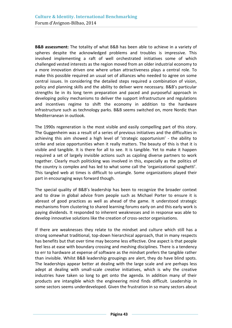**B&B assessment:** The totality of what B&B has been able to achieve in a variety of spheres despite the acknowledged problems and troubles is impressive. This involved implementing a raft of well orchestrated initiatives some of which challenged vested interests as the region moved from an older industrial economy to a more innovation driven one where urban attractiveness plays a central role. To make this possible required an usual set of alliances who needed to agree on some central issues. In considering the detailed steps required a combination of vision, policy and planning skills and the ability to deliver were necessary. B&B's particular strengths lie in its long term preparation and paced and purposeful approach in developing policy mechanisms to deliver the support infrastructure and regulations and incentives regime to shift the economy in addition to the hardware infrastructure such as technology parks. B&B seems switched on, more Nordic than Mediterranean in outlook.

The 1990s regeneration is the most visible and easily compelling part of this story. The Guggenheim was a result of a series of previous initiatives and the difficulties in achieving this aim showed a high level of 'strategic opportunism' - the ability to strike and seize opportunities when it really matters. The beauty of this is that it is visible and tangible. It is there for all to see. It is tangible. Yet to make it happen required a set of largely invisible actions such as cajoling diverse partners to work together. Clearly much politicking was involved in this, especially as the politics of the country is complex and has led to what some call the 'organizational spaghetti'. This tangled web at times is difficult to untangle. Some organizations played their part in encouraging ways forward though.

The special quality of B&B's leadership has been to recognize the broader context and to draw in global advice from people such as Michael Porter to ensure it is abreast of good practices as well as ahead of the game. It understood strategic mechanisms from clustering to shared learning forums early on and this early work is paying dividends. It responded to inherent weaknesses and in response was able to develop innovative solutions like the creation of cross-sector organisations.

If there are weaknesses they relate to the mindset and culture which still has a strong somewhat traditional, top-down hierarchical approach, that in many respects has benefits but that over time may become less effective. One aspect is that people feel less at ease with boundary crossing and meshing disciplines. There is a tendency to err to hardware at expense of software as the mindset prefers the tangible rather than invisible. Whilst B&B leadership groupings are alert, they do have blind spots. The leaderships appear better at dealing with the large scale and are perhaps less adept at dealing with small-scale *creative* initiatives, which is why the creative industries have taken so long to get onto the agenda. In addition many of their products are intangible which the engineering mind finds difficult. Leadership in some sectors seems underdeveloped. Given the frustration in so many sectors about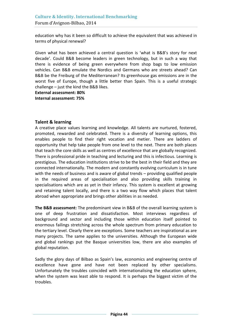education why has it been so difficult to achieve the equivalent that was achieved in terms of physical renewal?

Given what has been achieved a central question is 'what is B&B's story for next decade'. Could B&B become leaders in green technology, but in such a way that there is evidence of being green everywhere from shop bags to low emission vehicles. Can B&B emulate the Nordics and Germans who are streets ahead? Can B&B be the Freiburg of the Mediterranean? Its greenhouse gas emissions are in the worst five of Europe, though a little better than Spain. This is a useful strategic challenge – just the kind the B&B likes.

**External assessment: 80% Internal assessment: 75%**

#### **Talent & learning**

A creative place values learning and knowledge. All talents are nurtured, fostered, promoted, rewarded and celebrated. There is a diversity of learning options, this enables people to find their right vocation and metier. There are ladders of opportunity that help take people from one level to the next. There are both places that teach the core skills as well as centres of excellence that are globally recognized. There is professional pride in teaching and lecturing and this is infectious. Learning is prestigious. The education institutions strive to be the best in their field and they are connected internationally. The modern and constantly evolving curriculum is in tune with the needs of business and is aware of global trends – providing qualified people in the required areas of specialisation and also providing skills training in specialisations which are as yet in their infancy. This system is excellent at growing and retaining talent locally, and there is a two way flow which places that talent abroad when appropriate and brings other abilities in as needed.

**The B&B assessment:** The predominant view in B&B of the overall learning system is one of deep frustration and dissatisfaction. Most interviews regardless of background and sector and including those within education itself pointed to enormous failings stretching across the whole spectrum from primary education to the tertiary level. Clearly there are exceptions. Some teachers are inspirational as are many projects. The same applies to the universities. Although the European wide and global rankings put the Basque universities low, there are also examples of global reputation.

Sadly the glory days of Bilbao as Spain's law, economics and engineering centre of excellence have gone and have not been replaced by other specialisms. Unfortunately the troubles coincided with internationalising the education sphere, when the system was least able to respond. It is perhaps the biggest victim of the troubles.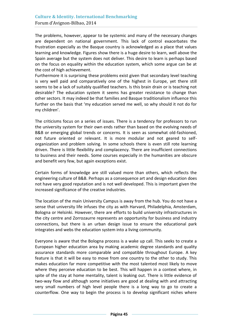The problems, however, appear to be systemic and many of the necessary changes are dependent on national government. This lack of control exacerbates the frustration especially as the Basque country is acknowledged as a place that values learning and knowledge. Figures show there is a huge desire to learn, well above the Spain average but the system does not deliver. This desire to learn is perhaps based on the focus on equality within the education system, which some argue can be at the cost of high achievement.

Furthermore it is surprising these problems exist given that secondary level teaching is very well paid and comparatively one of the highest in Europe, yet there still seems to be a lack of suitably qualified teachers. Is this brain drain or is teaching not desirable? The education system it seems has greater resistance to change than other sectors. It may indeed be that families and Basque traditionalism influence this further on the basis that 'my education served me well, so why should it not do for my children'.

The criticisms focus on a series of issues. There is a tendency for professors to run the university system for their own ends rather than based on the evolving needs of B&B or emerging global trends or concerns. It is seen as somewhat old-fashioned, not future oriented or relevant. It is more modular and not geared to selforganization and problem solving. In some schools there is even still rote learning driven. There is little flexibility and complacency. There are insufficient connections to business and their needs. Some courses especially in the humanities are obscure and benefit very few, but again exceptions exist.

Certain forms of knowledge are still valued more than others, which reflects the engineering culture of B&B. Perhaps as a consequence art and design education does not have very good reputation and is not well developed. This is important given the increased significance of the creative industries.

The location of the main University Campus is away from the hub. You do not have a sense that university life infuses the city as with Harvard, Philadelphia, Amsterdam, Bologna or Helsinki. However, there are efforts to build university infrastructures in the city centre and Zorrozaurre represents an opportunity for business and industry connections, but there is an urban design issue to ensure the educational park integrates and webs the education system into a living community.

Everyone is aware that the Bologna process is a wake up call. This seeks to create a European higher education area by making academic degree standards and quality assurance standards more comparable and compatible throughout Europe. A key feature is that it will be easy to move from one country to the other to study. This makes education far more competitive with the most talented most likely to move where they perceive education to be best. This will happen in a context where, in spite of the stay at home mentality, talent is leaking out. There is little evidence of two-way flow and although some initiatives are good at dealing with and attracting very small numbers of high level people there is a long way to go to create a counterflow. One way to begin the process is to develop significant niches where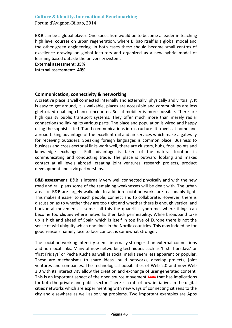B&B can be a global player. One specialism would be to become a leader in teaching high level courses on urban regeneration, where Bilbao itself is a global model and the other green engineering. In both cases these should become small centres of excellence drawing on global lecturers and organized as a new hybrid model of learning based outside the university system.

**External assessment: 35% Internal assessment: 40%**

#### **Communication, connectivity & networking**

A creative place is well connected internally and externally, physically and virtually. It is easy to get around, it is walkable, places are accessible and communities are less ghettoized enabling chance encounter. Social mobility is more possible. There are high quality public transport systems. They offer much more than merely radial connections so linking its various parts. The place and population is wired and happy using the sophisticated IT and communications infrastructure. It travels at home and abroad taking advantage of the excellent rail and air services which make a gateway for receiving outsiders. Speaking foreign languages is common place. Business to business and cross-sectorial links work well, there are clusters, hubs, focal points and knowledge exchanges. Full advantage is taken of the natural location in communicating and conducting trade. The place is outward looking and makes contact at all levels abroad, creating joint ventures, research projects, product development and civic partnerships.

**B&B assessment:** B&B is internally very well connected physically and with the new road and rail plans some of the remaining weaknesses will be dealt with. The urban areas of B&B are largely walkable. In addition social networks are reasonably tight. This makes it easier to reach people, connect and to collaborate. However, there is discussion as to whether they are too tight and whether there is enough vertical and horizontal movement. – some call this the quadrilla syndrome, where things can become too cliquey where networks then lack permeability. While broadband take up is high and ahead of Spain which is itself in top five of Europe there is not the sense of wifi ubiquity which one finds in the Nordic countries. This may indeed be for good reasons namely face to face contact is somewhat stronger.

The social networking intensity seems internally stronger than external connections and non-local links. Many of new networking techniques such as 'first Thursdays' or 'first Fridays' or Pecha Kucha as well as social media seem less apparent or popular. These are mechanisms to share ideas, build networks, develop projects, joint ventures and companies. The technological possibilities of Web 2.0 and now Web 3.0 with its interactivity allow the creation and exchange of user generated content. This is an important aspect of the open source movement that that has implications for both the private and public sector. There is a raft of new initiatives in the digital cities networks which are experimenting with new ways of connecting citizens to the city and elsewhere as well as solving problems. Two important examples are Apps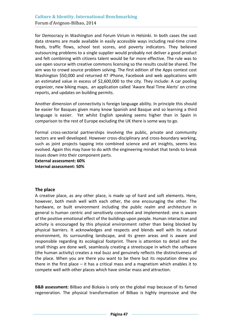for Democracy in Washington and Forum Virium in Helsinki. In both cases the vast data streams are made available in easily accessible ways including real-time crime feeds, traffic flows, school test scores, and poverty indicators. They believed outsourcing problems to a single supplier would probably not deliver a good product and felt combining with citizens talent would be far more effective. The rule was to use open source with creative commons licensing so the results could be shared. The aim was to crowd source problem solving. The first edition of the Apps contest cost Washington \$50,000 and returned 47 iPhone, Facebook and web applications with an estimated value in excess of \$2,600,000 to the city. They include: A car pooling organizer, new biking maps, an application called 'Aware Real Time Alerts' on crime reports, and updates on building permits.

Another dimension of connectivity is foreign language ability. In principle this should be easier for Basques given many know Spanish and Basque and so learning a third language is easier. Yet whilst English speaking seems higher than in Spain in comparison to the rest of Europe excluding the UK there is some way to go.

Formal cross-sectorial partnerships involving the public, private and community sectors are well developed. However cross-disciplinary and cross-boundary working, such as joint projects tapping into combined science and art insights, seems less evolved. Again this may have to do with the engineering mindset that tends to break issues down into their component parts.

**External assessment: 60%**

**Internal assessment: 50%**

#### **The place**

A creative place, as any other place, is made up of hard and soft elements. Here, however, both mesh well with each other, the one encouraging the other. The hardware, or built environment including the public realm and architecture in general is human centric and sensitively conceived and implemented: one is aware of the positive emotional effect of the buildings upon people. Human interaction and activity is encouraged by this physical environment rather than being blocked by physical barriers. It acknowledges and respects and blends well with its natural environment, its surrounding landscape, and its green areas and is aware and responsible regarding its ecological footprint. There is attention to detail and the small things are done well, seamlessly creating a streetscape in which the software (the human activity) creates a real buzz and genuinely reflects the distinctiveness of the place. When you are there you want to be there but its reputation drew you there in the first place – it has a critical mass and a magnetism which enables it to compete well with other places which have similar mass and attraction.

**B&B assessment:** Bilbao and Bizkaia is only on the global map because of its famed regeneration. The physical transformation of Bilbao is highly impressive and the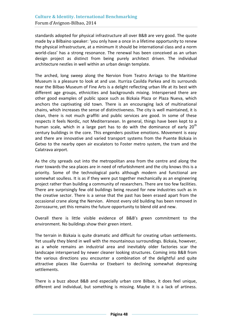standards adopted for physical infrastructure all over B&B are very good. The quote made by a Bilbaino speaker: 'you only have a once in a lifetime opportunity to renew the physical infrastructure, at a minimum it should be international class and a norm world-class' has a strong resonance. The renewal has been conceived as an urban design project as distinct from being purely architect driven. The individual architecture nestles in well within an urban design template.

The arched, long sweep along the Nervion from Teatro Arriaga to the Maritime Museum is a pleasure to look at and use. Iturriza Casilda Parkea and its surrounds near the Bilbao Museum of Fine Arts is a delight reflecting urban life at its best with different age groups, ethnicities and backgrounds mixing. Interspersed there are other good examples of public space such as Bizkaia Plaza or Plaza Nueva, which anchors the captivating old town. There is an encouraging lack of multinational chains, which increases the sense of distinctiveness. The city is well maintained, it is clean, there is not much graffiti and public services are good. In some of these respects it feels Nordic, not Mediterranean. In general, things have been kept to a human scale, which in a large part has to do with the dominance of early  $20<sup>th</sup>$ century buildings in the core. This engenders positive emotions. Movement is easy and there are innovative and varied transport systems from the Puente Bizkaia in Getxo to the nearby open air escalators to Foster metro system, the tram and the Calatrava airport.

As the city spreads out into the metropolitan area from the centre and along the river towards the sea places are in need of refurbishment and the city knows this is a priority. Some of the technological parks although modern and functional are somewhat soulless. It is as if they were put together mechanically as an engineering project rather than building a community of researchers. There are too few facilities. There are surprisingly few old buildings being reused for new industries such as in the creative sector. There is a sense that the past has been erased apart from the occasional crane along the Nervion. Almost every old building has been removed in Zorrozaurre, yet this remains the future opportunity to blend old and new.

Overall there is little visible evidence of B&B's green commitment to the environment. No buildings show their green intent.

The terrain in Bizkaia is quite dramatic and difficult for creating urban settlements. Yet usually they blend in well with the mountainous surroundings. Bizkaia, however, as a whole remains an industrial area and inevitably older factories scar the landscape interspersed by newer cleaner looking structures. Coming into B&B from the various directions you encounter a combination of the delightful and quite attractive places like Guernika or Etxebarri to declining somewhat depressing settlements.

There is a buzz about B&B and especially urban core Bilbao, it does feel unique, different and individual, but something is missing. Maybe it is a lack of artiness.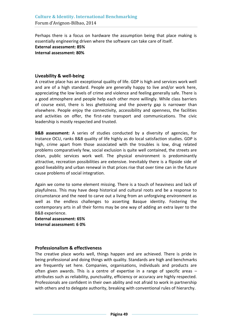Perhaps there is a focus on hardware the assumption being that place making is essentially engineering driven where the software can take care of itself.

**External assessment: 85% Internal assessment: 80%**

#### **Liveability & well-being**

A creative place has an exceptional quality of life. GDP is high and services work well and are of a high standard. People are generally happy to live and/or work here, appreciating the low levels of crime and violence and feeling generally safe. There is a good atmosphere and people help each other more willingly. While class barriers of course exist, there is less ghettoizing and the poverty gap is narrower than elsewhere. People enjoy the connectivity, accessibility and openness, the facilities and activities on offer, the first-rate transport and communications. The civic leadership is mostly respected and trusted.

**B&B assessment:** A series of studies conducted by a diversity of agencies, for instance OCU, ranks B&B quality of life highly as do local satisfaction studies. GDP is high, crime apart from those associated with the troubles is low, drug related problems comparatively few, social exclusion is quite well contained, the streets are clean, public services work well. The physical environment is predominantly attractive, recreation possibilities are extensive. Inevitably there is a flipside side of good liveability and urban renewal in that prices rise that over time can in the future cause problems of social integration.

Again we come to some element missing. There is a touch of heaviness and lack of playfulness. This may have deep historical and cultural roots and be a response to circumstance and the need to carve out a living from an unforgiving environment as well as the endless challenges to asserting Basque identity. Fostering the contemporary arts in all their forms may be one way of adding an extra layer to the B&B experience.

**External assessment: 65% Internal assessment: 6 0%**

#### **Professionalism & effectiveness**

The creative place works well, things happen and are achieved. There is pride in being professional and doing things with quality. Standards are high and benchmarks are frequently set here. Companies, organisations, individuals and products are often given awards. This is a centre of expertise in a range of specific areas – attributes such as reliability, punctuality, efficiency or accuracy are highly respected. Professionals are confident in their own ability and not afraid to work in partnership with others and to delegate authority, breaking with conventional rules of hierarchy.